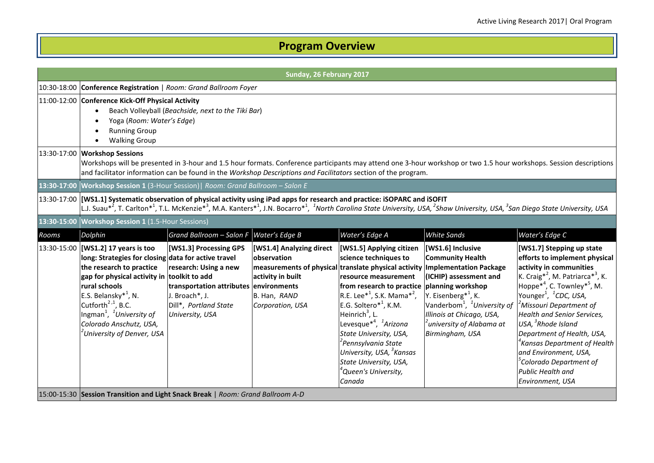## **Program Overview**

|       | Sunday, 26 February 2017                                                                                                                                                                                                                                                                                                                                                      |                                                                                                                                                         |                                                                                                                                                                                 |                                                                                                                                                                                                                                                                                                                                                                                                                                                                                 |                                                                                                                                                                                                                                                           |                                                                                                                                                                                                                                                                                                                                                                                                                                                                                                                                              |  |
|-------|-------------------------------------------------------------------------------------------------------------------------------------------------------------------------------------------------------------------------------------------------------------------------------------------------------------------------------------------------------------------------------|---------------------------------------------------------------------------------------------------------------------------------------------------------|---------------------------------------------------------------------------------------------------------------------------------------------------------------------------------|---------------------------------------------------------------------------------------------------------------------------------------------------------------------------------------------------------------------------------------------------------------------------------------------------------------------------------------------------------------------------------------------------------------------------------------------------------------------------------|-----------------------------------------------------------------------------------------------------------------------------------------------------------------------------------------------------------------------------------------------------------|----------------------------------------------------------------------------------------------------------------------------------------------------------------------------------------------------------------------------------------------------------------------------------------------------------------------------------------------------------------------------------------------------------------------------------------------------------------------------------------------------------------------------------------------|--|
|       | 10:30-18:00 Conference Registration   Room: Grand Ballroom Foyer                                                                                                                                                                                                                                                                                                              |                                                                                                                                                         |                                                                                                                                                                                 |                                                                                                                                                                                                                                                                                                                                                                                                                                                                                 |                                                                                                                                                                                                                                                           |                                                                                                                                                                                                                                                                                                                                                                                                                                                                                                                                              |  |
|       | <b>Running Group</b><br><b>Walking Group</b>                                                                                                                                                                                                                                                                                                                                  | 11:00-12:00 Conference Kick-Off Physical Activity<br>Beach Volleyball (Beachside, next to the Tiki Bar)<br>Yoga (Room: Water's Edge)                    |                                                                                                                                                                                 |                                                                                                                                                                                                                                                                                                                                                                                                                                                                                 |                                                                                                                                                                                                                                                           |                                                                                                                                                                                                                                                                                                                                                                                                                                                                                                                                              |  |
|       | 13:30-17:00 Workshop Sessions                                                                                                                                                                                                                                                                                                                                                 |                                                                                                                                                         | and facilitator information can be found in the Workshop Descriptions and Facilitators section of the program.                                                                  |                                                                                                                                                                                                                                                                                                                                                                                                                                                                                 |                                                                                                                                                                                                                                                           | Workshops will be presented in 3-hour and 1.5 hour formats. Conference participants may attend one 3-hour workshop or two 1.5 hour workshops. Session descriptions                                                                                                                                                                                                                                                                                                                                                                           |  |
|       | 13:30-17:00 Workshop Session 1 (3-Hour Session)   Room: Grand Ballroom - Salon E                                                                                                                                                                                                                                                                                              |                                                                                                                                                         |                                                                                                                                                                                 |                                                                                                                                                                                                                                                                                                                                                                                                                                                                                 |                                                                                                                                                                                                                                                           |                                                                                                                                                                                                                                                                                                                                                                                                                                                                                                                                              |  |
|       | 13:30-17:00 [[WS1.1] Systematic observation of physical activity using iPad apps for research and practice: iSOPARC and iSOFIT                                                                                                                                                                                                                                                |                                                                                                                                                         |                                                                                                                                                                                 |                                                                                                                                                                                                                                                                                                                                                                                                                                                                                 |                                                                                                                                                                                                                                                           | L.J. Suau* <sup>2</sup> , T. Carlton* <sup>1</sup> , T.L. McKenzie* <sup>3</sup> , M.A. Kanters* <sup>1</sup> , J.N. Bocarro* <sup>1</sup> , <sup>1</sup> North Carolina State University, USA, <sup>2</sup> Shaw University, USA, <sup>3</sup> San Diego State University, USA                                                                                                                                                                                                                                                              |  |
|       | 13:30-15:00 Workshop Session 1 (1.5-Hour Sessions)                                                                                                                                                                                                                                                                                                                            |                                                                                                                                                         |                                                                                                                                                                                 |                                                                                                                                                                                                                                                                                                                                                                                                                                                                                 |                                                                                                                                                                                                                                                           |                                                                                                                                                                                                                                                                                                                                                                                                                                                                                                                                              |  |
| Rooms | Dolphin                                                                                                                                                                                                                                                                                                                                                                       | Grand Ballroom - Salon F                                                                                                                                | Water's Edge B                                                                                                                                                                  | Water's Edge A                                                                                                                                                                                                                                                                                                                                                                                                                                                                  | <b>White Sands</b>                                                                                                                                                                                                                                        | Water's Edge C                                                                                                                                                                                                                                                                                                                                                                                                                                                                                                                               |  |
|       | 13:30-15:00 [WS1.2] 17 years is too<br>long: Strategies for closing data for active travel<br>the research to practice<br>gap for physical activity in toolkit to add<br>rural schools<br>E.S. Belansky $*^1$ , N.<br>Cutforth <sup>2,1</sup> , B.C.<br>Ingman <sup>1</sup> , <sup>1</sup> University of<br>Colorado Anschutz, USA,<br><sup>2</sup> University of Denver, USA | [WS1.3] Processing GPS<br>research: Using a new<br>transportation attributes environments<br>J. Broach*, J.<br>Dill*, Portland State<br>University, USA | [WS1.4] Analyzing direct<br>observation<br>measurements of physical translate physical activity Implementation Package<br>activity in built<br>B. Han, RAND<br>Corporation, USA | [WS1.5] Applying citizen<br>science techniques to<br>resource measurement<br>from research to practice planning workshop<br>R.E. Lee <sup>*1</sup> , S.K. Mama <sup>*2</sup> ,<br>E.G. Soltero <sup>*1</sup> , K.M.<br>Heinrich <sup>3</sup> , L.<br>Levesque <sup>*4</sup> , <sup>1</sup> Arizona<br>State University, USA,<br><sup>2</sup> Pennsylvania State<br>University, USA, <sup>3</sup> Kansas<br>State University, USA,<br><sup>4</sup> Queen's University,<br>Canada | [WS1.6] Inclusive<br><b>Community Health</b><br>(ICHIP) assessment and<br>Y. Eisenberg <sup>*1</sup> , K.<br>Vanderbom <sup>1</sup> , <sup>1</sup> University of<br>Illinois at Chicago, USA,<br><sup>2</sup> university of Alabama at<br>Birmingham, USA | [WS1.7] Stepping up state<br>efforts to implement physical<br>activity in communities<br>K. Craig <sup>*2</sup> , M. Patriarca <sup>*3</sup> , K.<br>$Hoppe^{*4}$ , C. Townley <sup>*5</sup> , M.<br>Younger <sup>1</sup> , <sup>1</sup> CDC, USA,<br><sup>2</sup> Missouri Department of<br><b>Health and Senior Services,</b><br>USA, $3Rh$ ode Island<br>Department of Health, USA,<br>${}^4$ Kansas Department of Health<br>and Environment, USA,<br><sup>5</sup> Colorado Department of<br><b>Public Health and</b><br>Environment, USA |  |
|       | 15:00-15:30 Session Transition and Light Snack Break   Room: Grand Ballroom A-D                                                                                                                                                                                                                                                                                               |                                                                                                                                                         |                                                                                                                                                                                 |                                                                                                                                                                                                                                                                                                                                                                                                                                                                                 |                                                                                                                                                                                                                                                           |                                                                                                                                                                                                                                                                                                                                                                                                                                                                                                                                              |  |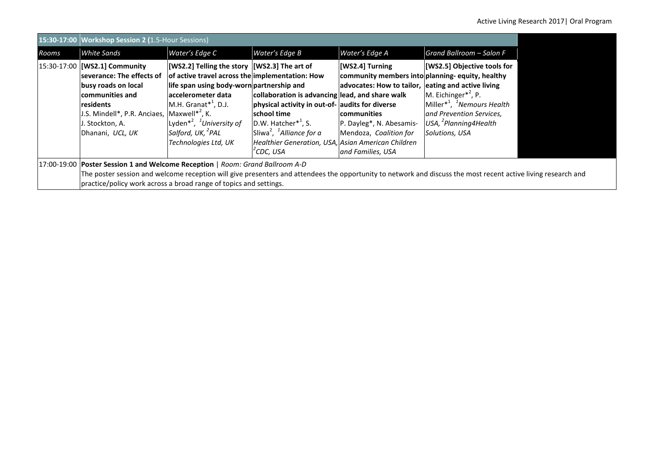|       | 15:30-17:00 Workshop Session 2 (1.5-Hour Sessions)                                                                                                                                                                                 |                                                                                                                                                                                                                                                                                                                                  |                                                                                                                                                                                                                                                                                 |                                                                                                                                                                                                                           |                                                                                                                                                                                                   |  |
|-------|------------------------------------------------------------------------------------------------------------------------------------------------------------------------------------------------------------------------------------|----------------------------------------------------------------------------------------------------------------------------------------------------------------------------------------------------------------------------------------------------------------------------------------------------------------------------------|---------------------------------------------------------------------------------------------------------------------------------------------------------------------------------------------------------------------------------------------------------------------------------|---------------------------------------------------------------------------------------------------------------------------------------------------------------------------------------------------------------------------|---------------------------------------------------------------------------------------------------------------------------------------------------------------------------------------------------|--|
| Rooms | <b>White Sands</b>                                                                                                                                                                                                                 | Water's Edge C                                                                                                                                                                                                                                                                                                                   | Water's Edge B                                                                                                                                                                                                                                                                  | Water's Edge A                                                                                                                                                                                                            | Grand Ballroom - Salon F                                                                                                                                                                          |  |
|       | 15:30-17:00 [WS2.1] Community<br>severance: The effects of<br>busy roads on local<br>communities and<br>lresidents<br>J.S. Mindell*, P.R. Anciaes,<br>J. Stockton, A.<br>Dhanani, UCL, UK                                          | [WS2.2] Telling the story [WS2.3] The art of<br>of active travel across the implementation: How<br>life span using body-worn partnership and<br>laccelerometer data<br>$M.H. Grand**^1, D.J.$<br>Maxwell $*^2$ , K.<br>Lyden <sup>*2</sup> , <sup>1</sup> University of<br>Salford, UK, <sup>2</sup> PAL<br>Technologies Ltd, UK | collaboration is advancing lead, and share walk<br>physical activity in out-of- audits for diverse<br>school time<br>D.W. Hatcher $*^1$ , S.<br>Sliwa <sup>2</sup> , <sup>1</sup> Alliance for a<br>Healthier Generation, USA, Asian American Children<br><sup>ʻ</sup> CDC, USA | [WS2.4] Turning<br>community members into planning-equity, healthy<br>advocates: How to tailor, eating and active living<br><b>communities</b><br>P. Dayleg*, N. Abesamis-<br>Mendoza, Coalition for<br>and Families, USA | [WS2.5] Objective tools for<br>M. Eichinger $*^2$ , P.<br>Miller <sup>*1</sup> , <sup>1</sup> Nemours Health<br>and Prevention Services,<br>USA, <sup>2</sup> Planning 4 Health<br>Solutions, USA |  |
|       | 17:00-19:00 Poster Session 1 and Welcome Reception   Room: Grand Ballroom A-D                                                                                                                                                      |                                                                                                                                                                                                                                                                                                                                  |                                                                                                                                                                                                                                                                                 |                                                                                                                                                                                                                           |                                                                                                                                                                                                   |  |
|       | The poster session and welcome reception will give presenters and attendees the opportunity to network and discuss the most recent active living research and<br>practice/policy work across a broad range of topics and settings. |                                                                                                                                                                                                                                                                                                                                  |                                                                                                                                                                                                                                                                                 |                                                                                                                                                                                                                           |                                                                                                                                                                                                   |  |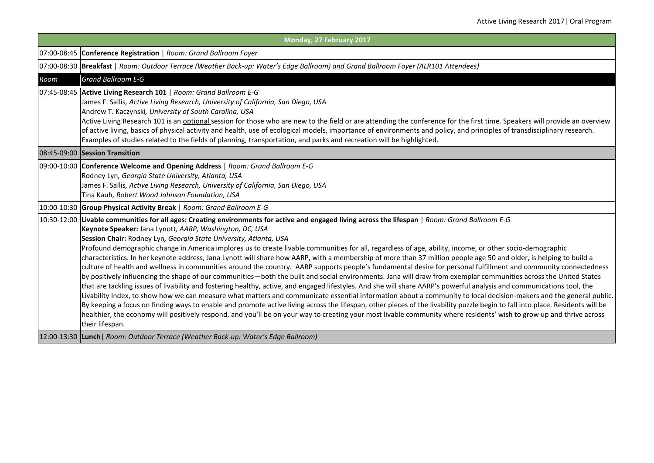|      | Monday, 27 February 2017                                                                                                                                                                                                                                                                                                                                                                                                                                                                                                                                                                                                                                                                                                                                                                                                                                                                                                                                                                                                                                                                                                                                                                                                                                                                                                                                                                                                                                                                                                                                                                                                                                                               |
|------|----------------------------------------------------------------------------------------------------------------------------------------------------------------------------------------------------------------------------------------------------------------------------------------------------------------------------------------------------------------------------------------------------------------------------------------------------------------------------------------------------------------------------------------------------------------------------------------------------------------------------------------------------------------------------------------------------------------------------------------------------------------------------------------------------------------------------------------------------------------------------------------------------------------------------------------------------------------------------------------------------------------------------------------------------------------------------------------------------------------------------------------------------------------------------------------------------------------------------------------------------------------------------------------------------------------------------------------------------------------------------------------------------------------------------------------------------------------------------------------------------------------------------------------------------------------------------------------------------------------------------------------------------------------------------------------|
|      | 07:00-08:45 Conference Registration   Room: Grand Ballroom Foyer                                                                                                                                                                                                                                                                                                                                                                                                                                                                                                                                                                                                                                                                                                                                                                                                                                                                                                                                                                                                                                                                                                                                                                                                                                                                                                                                                                                                                                                                                                                                                                                                                       |
|      | 07:00-08:30 Breakfast   Room: Outdoor Terrace (Weather Back-up: Water's Edge Ballroom) and Grand Ballroom Foyer (ALR101 Attendees)                                                                                                                                                                                                                                                                                                                                                                                                                                                                                                                                                                                                                                                                                                                                                                                                                                                                                                                                                                                                                                                                                                                                                                                                                                                                                                                                                                                                                                                                                                                                                     |
| Room | <b>Grand Ballroom E-G</b>                                                                                                                                                                                                                                                                                                                                                                                                                                                                                                                                                                                                                                                                                                                                                                                                                                                                                                                                                                                                                                                                                                                                                                                                                                                                                                                                                                                                                                                                                                                                                                                                                                                              |
|      | 07:45-08:45 Active Living Research 101   Room: Grand Ballroom E-G<br>James F. Sallis, Active Living Research, University of California, San Diego, USA<br>Andrew T. Kaczynski, University of South Carolina, USA<br>Active Living Research 101 is an <i>optional</i> session for those who are new to the field or are attending the conference for the first time. Speakers will provide an overview<br>of active living, basics of physical activity and health, use of ecological models, importance of environments and policy, and principles of transdisciplinary research.<br>Examples of studies related to the fields of planning, transportation, and parks and recreation will be highlighted.                                                                                                                                                                                                                                                                                                                                                                                                                                                                                                                                                                                                                                                                                                                                                                                                                                                                                                                                                                              |
|      | 08:45-09:00 Session Transition                                                                                                                                                                                                                                                                                                                                                                                                                                                                                                                                                                                                                                                                                                                                                                                                                                                                                                                                                                                                                                                                                                                                                                                                                                                                                                                                                                                                                                                                                                                                                                                                                                                         |
|      | 09:00-10:00 Conference Welcome and Opening Address   Room: Grand Ballroom E-G<br>Rodney Lyn, Georgia State University, Atlanta, USA<br>James F. Sallis, Active Living Research, University of California, San Diego, USA<br>Tina Kauh, Robert Wood Johnson Foundation, USA                                                                                                                                                                                                                                                                                                                                                                                                                                                                                                                                                                                                                                                                                                                                                                                                                                                                                                                                                                                                                                                                                                                                                                                                                                                                                                                                                                                                             |
|      | 10:00-10:30 Group Physical Activity Break   Room: Grand Ballroom E-G                                                                                                                                                                                                                                                                                                                                                                                                                                                                                                                                                                                                                                                                                                                                                                                                                                                                                                                                                                                                                                                                                                                                                                                                                                                                                                                                                                                                                                                                                                                                                                                                                   |
|      | 10:30-12:00 Livable communities for all ages: Creating environments for active and engaged living across the lifespan   Room: Grand Ballroom E-G<br>Keynote Speaker: Jana Lynott, AARP, Washington, DC, USA<br>Session Chair: Rodney Lyn, Georgia State University, Atlanta, USA<br>Profound demographic change in America implores us to create livable communities for all, regardless of age, ability, income, or other socio-demographic<br>characteristics. In her keynote address, Jana Lynott will share how AARP, with a membership of more than 37 million people age 50 and older, is helping to build a<br>culture of health and wellness in communities around the country. AARP supports people's fundamental desire for personal fulfillment and community connectedness<br>by positively influencing the shape of our communities—both the built and social environments. Jana will draw from exemplar communities across the United States<br>that are tackling issues of livability and fostering healthy, active, and engaged lifestyles. And she will share AARP's powerful analysis and communications tool, the<br>Livability Index, to show how we can measure what matters and communicate essential information about a community to local decision-makers and the general public.<br>By keeping a focus on finding ways to enable and promote active living across the lifespan, other pieces of the livability puzzle begin to fall into place. Residents will be<br>healthier, the economy will positively respond, and you'll be on your way to creating your most livable community where residents' wish to grow up and thrive across<br>their lifespan. |
|      | 12:00-13:30  Lunch   Room: Outdoor Terrace (Weather Back-up: Water's Edge Ballroom)                                                                                                                                                                                                                                                                                                                                                                                                                                                                                                                                                                                                                                                                                                                                                                                                                                                                                                                                                                                                                                                                                                                                                                                                                                                                                                                                                                                                                                                                                                                                                                                                    |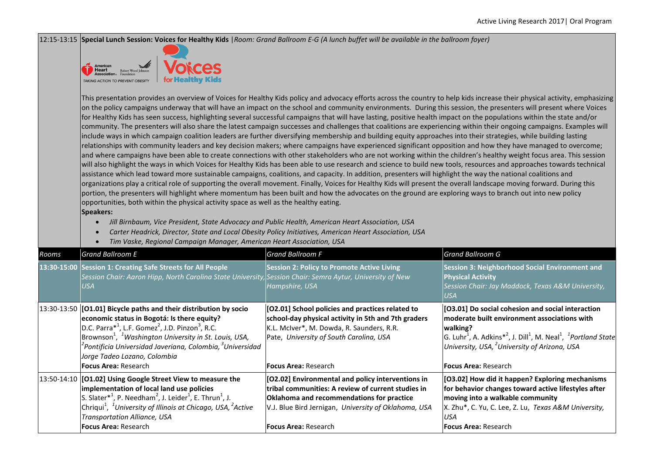12:15-13:15 **Special Lunch Session: Voices for Healthy Kids** |*Room: Grand Ballroom E-G (A lunch buffet will be available in the ballroom foyer)*



This presentation provides an overview of Voices for Healthy Kids policy and advocacy efforts across the country to help kids increase their physical activity, emphasizing on the policy campaigns underway that will have an impact on the school and community environments. During this session, the presenters will present where Voices for Healthy Kids has seen success, highlighting several successful campaigns that will have lasting, positive health impact on the populations within the state and/or community. The presenters will also share the latest campaign successes and challenges that coalitions are experiencing within their ongoing campaigns. Examples will include ways in which campaign coalition leaders are further diversifying membership and building equity approaches into their strategies, while building lasting relationships with community leaders and key decision makers; where campaigns have experienced significant opposition and how they have managed to overcome; and where campaigns have been able to create connections with other stakeholders who are not working within the children's healthy weight focus area. This session will also highlight the ways in which Voices for Healthy Kids has been able to use research and science to build new tools, resources and approaches towards technical assistance which lead toward more sustainable campaigns, coalitions, and capacity. In addition, presenters will highlight the way the national coalitions and organizations play a critical role of supporting the overall movement. Finally, Voices for Healthy Kids will present the overall landscape moving forward. During this portion, the presenters will highlight where momentum has been built and how the advocates on the ground are exploring ways to branch out into new policy opportunities, both within the physical activity space as well as the healthy eating.

## **Speakers:**

• *Jill Birnbaum, Vice President, State Advocacy and Public Health, American Heart Association, USA*

- *Carter Headrick, Director, State and Local Obesity Policy Initiatives, American Heart Association, USA*
- *Tim Vaske, Regional Campaign Manager, American Heart Association, USA*

| Rooms | <b>Grand Ballroom E</b>                                                                                                                                                                                                                                                                                                                                                                                                                        | <b>Grand Ballroom F</b>                                                                                                                                                                                                                      | <b>Grand Ballroom G</b>                                                                                                                                                                                                                                                                                                                   |
|-------|------------------------------------------------------------------------------------------------------------------------------------------------------------------------------------------------------------------------------------------------------------------------------------------------------------------------------------------------------------------------------------------------------------------------------------------------|----------------------------------------------------------------------------------------------------------------------------------------------------------------------------------------------------------------------------------------------|-------------------------------------------------------------------------------------------------------------------------------------------------------------------------------------------------------------------------------------------------------------------------------------------------------------------------------------------|
|       | 13:30-15:00 Session 1: Creating Safe Streets for All People<br>Session Chair: Aaron Hipp, North Carolina State University, Session Chair: Semra Aytur, University of New<br>USA                                                                                                                                                                                                                                                                | <b>Session 2: Policy to Promote Active Living</b><br>Hampshire, USA                                                                                                                                                                          | Session 3: Neighborhood Social Environment and<br><b>Physical Activity</b><br>Session Chair: Jay Maddock, Texas A&M University,<br>USA                                                                                                                                                                                                    |
|       | 13:30-13:50 [[O1.01] Bicycle paths and their distribution by socio<br>economic status in Bogotá: Is there equity?<br>D.C. Parra <sup>*1</sup> , L.F. Gomez <sup>2</sup> , J.D. Pinzon <sup>3</sup> , R.C.<br>Brownson <sup>1</sup> , <sup>1</sup> Washington University in St. Louis, USA,<br><sup>2</sup> Pontificia Universidad Javeriana, Colombia, <sup>3</sup> Universidad<br>Jorge Tadeo Lozano, Colombia<br><b>Focus Area: Research</b> | [O2.01] School policies and practices related to<br>school-day physical activity in 5th and 7th graders<br>K.L. McIver*, M. Dowda, R. Saunders, R.R.<br>Pate, University of South Carolina, USA<br><b>Focus Area: Research</b>               | [O3.01] Do social cohesion and social interaction<br>moderate built environment associations with<br> walking?<br>G. Luhr <sup>1</sup> , A. Adkins <sup>*2</sup> , J. Dill <sup>1</sup> , M. Neal <sup>1</sup> , <sup>1</sup> Portland State<br>University, USA, <sup>2</sup> University of Arizona, USA<br>l <b>Focus Area:</b> Research |
|       | 13:50-14:10 [O1.02] Using Google Street View to measure the<br>implementation of local land use policies<br>S. Slater <sup>*1</sup> , P. Needham <sup>2</sup> , J. Leider <sup>1</sup> , E. Thrun <sup>1</sup> , J.<br>Chriqui <sup>1</sup> , <sup>1</sup> University of Illinois at Chicago, USA, <sup>2</sup> Active<br>Transportation Alliance, USA<br><b>Focus Area: Research</b>                                                          | [O2.02] Environmental and policy interventions in<br>ltribal communities: A review of current studies in<br>Oklahoma and recommendations for practice<br>V.J. Blue Bird Jernigan, University of Oklahoma, USA<br><b>Focus Area: Research</b> | [O3.02] How did it happen? Exploring mechanisms<br>for behavior changes toward active lifestyles after<br>moving into a walkable community<br>X. Zhu*, C. Yu, C. Lee, Z. Lu, Texas A&M University,<br>USA<br><b>Focus Area: Research</b>                                                                                                  |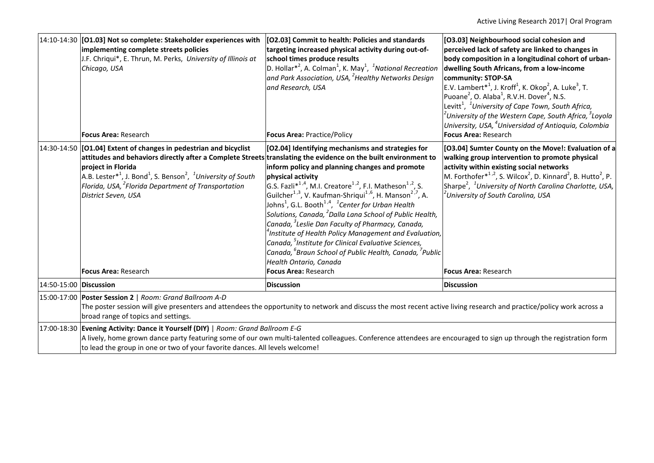|                        | 14:10-14:30 [O1.03] Not so complete: Stakeholder experiences with<br>implementing complete streets policies<br>J.F. Chriqui*, E. Thrun, M. Perks, University of Illinois at<br>Chicago, USA<br>Focus Area: Research                                                                                                                                                                                                 | [O2.03] Commit to health: Policies and standards<br>targeting increased physical activity during out-of-<br>school times produce results<br>D. Hollar <sup>*2</sup> , A. Colman <sup>1</sup> , K. May <sup>1</sup> , <sup>1</sup> National Recreation<br>and Park Association, USA, ${}^{2}$ Healthy Networks Design<br>and Research, USA<br>Focus Area: Practice/Policy                                                                                                                                                                                                                                                                                                                                                                                                                                | [O3.03] Neighbourhood social cohesion and<br>perceived lack of safety are linked to changes in<br>body composition in a longitudinal cohort of urban-<br>dwelling South Africans, from a low-income<br>community: STOP-SA<br>E.V. Lambert $*^1$ , J. Kroff <sup>1</sup> , K. Okop <sup>2</sup> , A. Luke <sup>3</sup> , T.<br>Puoane <sup>2</sup> , O. Alaba <sup>1</sup> , R.V.H. Dover <sup>4</sup> , N.S.<br>Levitt $^1$ , $\ ^1$ University of Cape Town, South Africa,<br>$^2$ University of the Western Cape, South Africa, $^3$ Loyola<br>University, USA, <sup>4</sup> Universidad of Antioquia, Colombia<br>Focus Area: Research |  |  |
|------------------------|---------------------------------------------------------------------------------------------------------------------------------------------------------------------------------------------------------------------------------------------------------------------------------------------------------------------------------------------------------------------------------------------------------------------|---------------------------------------------------------------------------------------------------------------------------------------------------------------------------------------------------------------------------------------------------------------------------------------------------------------------------------------------------------------------------------------------------------------------------------------------------------------------------------------------------------------------------------------------------------------------------------------------------------------------------------------------------------------------------------------------------------------------------------------------------------------------------------------------------------|-------------------------------------------------------------------------------------------------------------------------------------------------------------------------------------------------------------------------------------------------------------------------------------------------------------------------------------------------------------------------------------------------------------------------------------------------------------------------------------------------------------------------------------------------------------------------------------------------------------------------------------------|--|--|
|                        | 14:30-14:50 [O1.04] Extent of changes in pedestrian and bicyclist<br>attitudes and behaviors directly after a Complete Streets translating the evidence on the built environment to<br>project in Florida<br>A.B. Lester <sup>*1</sup> , J. Bond <sup>1</sup> , S. Benson <sup>2</sup> , <sup>1</sup> University of South<br>Florida, USA, <sup>2</sup> Florida Department of Transportation<br>District Seven, USA | [O2.04] Identifying mechanisms and strategies for<br>inform policy and planning changes and promote<br>physical activity<br>G.S. Fazli <sup>*1,4</sup> , M.I. Creatore <sup>1,2</sup> , F.I. Matheson <sup>1,2</sup> , S.<br>Guilcher <sup>1,3</sup> , V. Kaufman-Shriqui <sup>1,6</sup> , H. Manson <sup>2,7</sup> , A.<br>Johns <sup>1</sup> , G.L. Booth <sup>1,4</sup> , <sup>1</sup> Center for Urban Health<br>Solutions, Canada, <sup>2</sup> Dalla Lana School of Public Health,<br>Canada, <sup>3</sup> Leslie Dan Faculty of Pharmacy, Canada,<br>$^4$ Institute of Health Policy Management and Evaluation,<br>Canada, <sup>5</sup> Institute for Clinical Evaluative Sciences,<br>Canada, <sup>6</sup> Braun School of Public Health, Canada, <sup>7</sup> Public<br>Health Ontario, Canada | [O3.04] Sumter County on the Move!: Evaluation of a<br>walking group intervention to promote physical<br>activity within existing social networks<br>M. Forthofer <sup>*1,2</sup> , S. Wilcox <sup>2</sup> , D. Kinnard <sup>2</sup> , B. Hutto <sup>2</sup> , P.<br>Sharpe <sup>2</sup> , <sup>1</sup> University of North Carolina Charlotte, USA,<br><sup>2</sup> University of South Carolina, USA                                                                                                                                                                                                                                    |  |  |
|                        | Focus Area: Research                                                                                                                                                                                                                                                                                                                                                                                                | <b>Focus Area: Research</b>                                                                                                                                                                                                                                                                                                                                                                                                                                                                                                                                                                                                                                                                                                                                                                             | <b>Focus Area: Research</b>                                                                                                                                                                                                                                                                                                                                                                                                                                                                                                                                                                                                               |  |  |
| 14:50-15:00 Discussion |                                                                                                                                                                                                                                                                                                                                                                                                                     | <b>Discussion</b>                                                                                                                                                                                                                                                                                                                                                                                                                                                                                                                                                                                                                                                                                                                                                                                       | <b>Discussion</b>                                                                                                                                                                                                                                                                                                                                                                                                                                                                                                                                                                                                                         |  |  |
|                        | 15:00-17:00 Poster Session 2   Room: Grand Ballroom A-D<br>The poster session will give presenters and attendees the opportunity to network and discuss the most recent active living research and practice/policy work across a<br>broad range of topics and settings.                                                                                                                                             |                                                                                                                                                                                                                                                                                                                                                                                                                                                                                                                                                                                                                                                                                                                                                                                                         |                                                                                                                                                                                                                                                                                                                                                                                                                                                                                                                                                                                                                                           |  |  |
|                        | 17:00-18:30 Evening Activity: Dance it Yourself (DIY)   Room: Grand Ballroom E-G<br>A lively, home grown dance party featuring some of our own multi-talented colleagues. Conference attendees are encouraged to sign up through the registration form<br>to lead the group in one or two of your favorite dances. All levels welcome!                                                                              |                                                                                                                                                                                                                                                                                                                                                                                                                                                                                                                                                                                                                                                                                                                                                                                                         |                                                                                                                                                                                                                                                                                                                                                                                                                                                                                                                                                                                                                                           |  |  |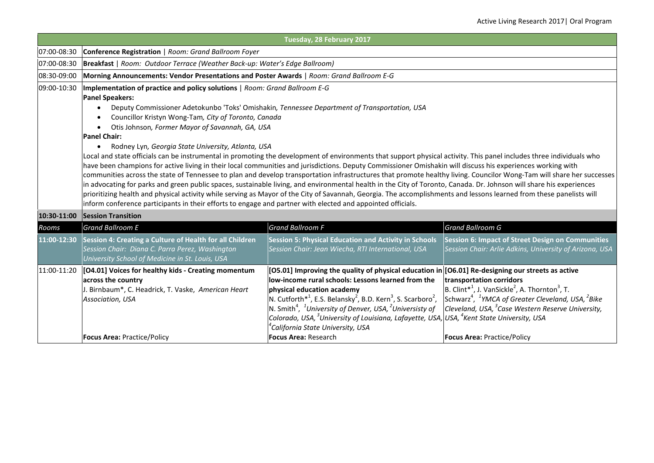|             |                                                                                                                                                                                                                                                                                                                                                                                                                                                                                                                                                                                                                                                                                                                                                                                                                                                                                                                                                                                                                                                                                                                                                                                                                                                                                                                                                                                          | Tuesday, 28 February 2017                                                                                                                                                                                                                                                                                                                                                                                                                                                                                                                                                                          |                                                                                                                                                                                                                                                                                                                |  |  |
|-------------|------------------------------------------------------------------------------------------------------------------------------------------------------------------------------------------------------------------------------------------------------------------------------------------------------------------------------------------------------------------------------------------------------------------------------------------------------------------------------------------------------------------------------------------------------------------------------------------------------------------------------------------------------------------------------------------------------------------------------------------------------------------------------------------------------------------------------------------------------------------------------------------------------------------------------------------------------------------------------------------------------------------------------------------------------------------------------------------------------------------------------------------------------------------------------------------------------------------------------------------------------------------------------------------------------------------------------------------------------------------------------------------|----------------------------------------------------------------------------------------------------------------------------------------------------------------------------------------------------------------------------------------------------------------------------------------------------------------------------------------------------------------------------------------------------------------------------------------------------------------------------------------------------------------------------------------------------------------------------------------------------|----------------------------------------------------------------------------------------------------------------------------------------------------------------------------------------------------------------------------------------------------------------------------------------------------------------|--|--|
| 07:00-08:30 | Conference Registration   Room: Grand Ballroom Foyer                                                                                                                                                                                                                                                                                                                                                                                                                                                                                                                                                                                                                                                                                                                                                                                                                                                                                                                                                                                                                                                                                                                                                                                                                                                                                                                                     |                                                                                                                                                                                                                                                                                                                                                                                                                                                                                                                                                                                                    |                                                                                                                                                                                                                                                                                                                |  |  |
| 07:00-08:30 | Breakfast   Room: Outdoor Terrace (Weather Back-up: Water's Edge Ballroom)                                                                                                                                                                                                                                                                                                                                                                                                                                                                                                                                                                                                                                                                                                                                                                                                                                                                                                                                                                                                                                                                                                                                                                                                                                                                                                               |                                                                                                                                                                                                                                                                                                                                                                                                                                                                                                                                                                                                    |                                                                                                                                                                                                                                                                                                                |  |  |
| 08:30-09:00 | Morning Announcements: Vendor Presentations and Poster Awards   Room: Grand Ballroom E-G                                                                                                                                                                                                                                                                                                                                                                                                                                                                                                                                                                                                                                                                                                                                                                                                                                                                                                                                                                                                                                                                                                                                                                                                                                                                                                 |                                                                                                                                                                                                                                                                                                                                                                                                                                                                                                                                                                                                    |                                                                                                                                                                                                                                                                                                                |  |  |
| 09:00-10:30 | Implementation of practice and policy solutions   Room: Grand Ballroom E-G<br><b>Panel Speakers:</b><br>Deputy Commissioner Adetokunbo 'Toks' Omishakin, Tennessee Department of Transportation, USA<br>Councillor Kristyn Wong-Tam, City of Toronto, Canada<br>Otis Johnson, Former Mayor of Savannah, GA, USA<br><b>Panel Chair:</b><br>Rodney Lyn, Georgia State University, Atlanta, USA<br>$\bullet$<br>Local and state officials can be instrumental in promoting the development of environments that support physical activity. This panel includes three individuals who<br>have been champions for active living in their local communities and jurisdictions. Deputy Commissioner Omishakin will discuss his experiences working with<br>communities across the state of Tennessee to plan and develop transportation infrastructures that promote healthy living. Councilor Wong-Tam will share her successes<br>in advocating for parks and green public spaces, sustainable living, and environmental health in the City of Toronto, Canada. Dr. Johnson will share his experiences<br>prioritizing health and physical activity while serving as Mayor of the City of Savannah, Georgia. The accomplishments and lessons learned from these panelists will<br>inform conference participants in their efforts to engage and partner with elected and appointed officials. |                                                                                                                                                                                                                                                                                                                                                                                                                                                                                                                                                                                                    |                                                                                                                                                                                                                                                                                                                |  |  |
|             | 10:30-11:00 Session Transition                                                                                                                                                                                                                                                                                                                                                                                                                                                                                                                                                                                                                                                                                                                                                                                                                                                                                                                                                                                                                                                                                                                                                                                                                                                                                                                                                           |                                                                                                                                                                                                                                                                                                                                                                                                                                                                                                                                                                                                    |                                                                                                                                                                                                                                                                                                                |  |  |
| Rooms       | <b>Grand Ballroom E</b>                                                                                                                                                                                                                                                                                                                                                                                                                                                                                                                                                                                                                                                                                                                                                                                                                                                                                                                                                                                                                                                                                                                                                                                                                                                                                                                                                                  | <b>Grand Ballroom F</b>                                                                                                                                                                                                                                                                                                                                                                                                                                                                                                                                                                            | <b>Grand Ballroom G</b>                                                                                                                                                                                                                                                                                        |  |  |
| 11:00-12:30 | Session 4: Creating a Culture of Health for all Children<br>Session Chair: Diana C. Parra Perez, Washington<br>University School of Medicine in St. Louis, USA                                                                                                                                                                                                                                                                                                                                                                                                                                                                                                                                                                                                                                                                                                                                                                                                                                                                                                                                                                                                                                                                                                                                                                                                                           | <b>Session 5: Physical Education and Activity in Schools</b><br>Session Chair: Jean Wiecha, RTI International, USA                                                                                                                                                                                                                                                                                                                                                                                                                                                                                 | <b>Session 6: Impact of Street Design on Communities</b><br>Session Chair: Arlie Adkins, University of Arizona, USA                                                                                                                                                                                            |  |  |
| 11:00-11:20 | [04.01] Voices for healthy kids - Creating momentum<br>across the country<br>J. Birnbaum*, C. Headrick, T. Vaske, American Heart<br>Association, USA<br><b>Focus Area: Practice/Policy</b>                                                                                                                                                                                                                                                                                                                                                                                                                                                                                                                                                                                                                                                                                                                                                                                                                                                                                                                                                                                                                                                                                                                                                                                               | [O5.01] Improving the quality of physical education in [O6.01] Re-designing our streets as active<br>low-income rural schools: Lessons learned from the<br>physical education academy<br>N. Cutforth <sup>*1</sup> , E.S. Belansky <sup>2</sup> , B.D. Kern <sup>3</sup> , S. Scarboro <sup>2</sup> ,<br>N. Smith <sup>4</sup> , <sup>1</sup> University of Denver, USA, <sup>2</sup> Universisty of<br>Colorado, USA, <sup>3</sup> University of Louisiana, Lafayette, USA, USA, <sup>4</sup> Kent State University, USA<br><sup>4</sup> California State University, USA<br>Focus Area: Research | transportation corridors<br>B. Clint <sup>*1</sup> , J. VanSickle <sup>2</sup> , A. Thornton <sup>3</sup> , T.<br>Schwarz <sup>4</sup> , <sup>1</sup> YMCA of Greater Cleveland, USA, <sup>2</sup> Bike<br>Cleveland, USA, <sup>3</sup> Case Western Reserve University,<br><b>Focus Area: Practice/Policy</b> |  |  |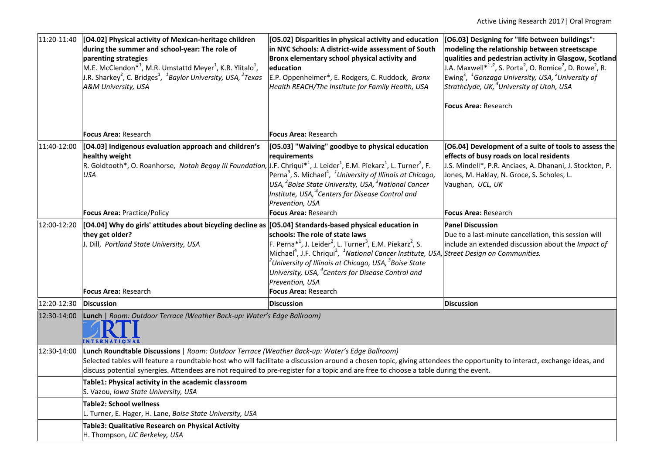| 11:20-11:40 | [04.02] Physical activity of Mexican-heritage children<br>during the summer and school-year: The role of<br>parenting strategies<br>M.E. McClendon <sup>*1</sup> , M.R. Umstattd Meyer <sup>1</sup> , K.R. Ylitalo <sup>1</sup> ,<br>J.R. Sharkey <sup>2</sup> , C. Bridges <sup>1</sup> , <sup>1</sup> Baylor University, USA, <sup>2</sup> Texas<br>A&M University, USA                                         | [O5.02] Disparities in physical activity and education<br>in NYC Schools: A district-wide assessment of South<br>Bronx elementary school physical activity and<br>education<br>E.P. Oppenheimer*, E. Rodgers, C. Ruddock, Bronx<br>Health REACH/The Institute for Family Health, USA                                                                                                                 | [O6.03] Designing for "life between buildings":<br>modeling the relationship between streetscape<br>qualities and pedestrian activity in Glasgow, Scotland<br>J.A. Maxwell* <sup>1,2</sup> , S. Porta <sup>2</sup> , O. Romice <sup>2</sup> , D. Rowe <sup>2</sup> , R.<br>Ewing <sup>3</sup> , <sup>1</sup> Gonzaga University, USA, <sup>2</sup> University of<br>Strathclyde, UK, <sup>3</sup> University of Utah, USA<br><b>Focus Area: Research</b> |  |  |
|-------------|-------------------------------------------------------------------------------------------------------------------------------------------------------------------------------------------------------------------------------------------------------------------------------------------------------------------------------------------------------------------------------------------------------------------|------------------------------------------------------------------------------------------------------------------------------------------------------------------------------------------------------------------------------------------------------------------------------------------------------------------------------------------------------------------------------------------------------|----------------------------------------------------------------------------------------------------------------------------------------------------------------------------------------------------------------------------------------------------------------------------------------------------------------------------------------------------------------------------------------------------------------------------------------------------------|--|--|
|             | Focus Area: Research                                                                                                                                                                                                                                                                                                                                                                                              | <b>Focus Area: Research</b>                                                                                                                                                                                                                                                                                                                                                                          |                                                                                                                                                                                                                                                                                                                                                                                                                                                          |  |  |
| 11:40-12:00 | [04.03] Indigenous evaluation approach and children's<br>healthy weight<br>R. Goldtooth*, O. Roanhorse, Notah Begay III Foundation, J.F. Chriqui* <sup>1</sup> , J. Leider <sup>1</sup> , E.M. Piekarz <sup>1</sup> , L. Turner <sup>2</sup> , F.<br><b>USA</b>                                                                                                                                                   | [O5.03] "Waiving" goodbye to physical education<br>requirements<br>Perna <sup>3</sup> , S. Michael <sup>4</sup> , <sup>1</sup> University of Illinois at Chicago,<br>USA, <sup>2</sup> Boise State University, USA, <sup>3</sup> National Cancer<br>Institute, USA, <sup>4</sup> Centers for Disease Control and<br>Prevention, USA                                                                  | [O6.04] Development of a suite of tools to assess the<br>effects of busy roads on local residents<br>J.S. Mindell*, P.R. Anciaes, A. Dhanani, J. Stockton, P.<br>Jones, M. Haklay, N. Groce, S. Scholes, L.<br>Vaughan, UCL, UK                                                                                                                                                                                                                          |  |  |
|             | <b>Focus Area: Practice/Policy</b>                                                                                                                                                                                                                                                                                                                                                                                | <b>Focus Area: Research</b>                                                                                                                                                                                                                                                                                                                                                                          | <b>Focus Area: Research</b>                                                                                                                                                                                                                                                                                                                                                                                                                              |  |  |
| 12:00-12:20 | [[O4.04] Why do girls' attitudes about bicycling decline as [[O5.04] Standards-based physical education in<br>they get older?<br>J. Dill, Portland State University, USA                                                                                                                                                                                                                                          | schools: The role of state laws<br>F. Perna <sup>*1</sup> , J. Leider <sup>2</sup> , L. Turner <sup>3</sup> , E.M. Piekarz <sup>2</sup> , S.<br>Michael <sup>4</sup> , J.F. Chriqui <sup>2</sup> , <sup>1</sup> National Cancer Institute, USA,<br>$^2$ University of Illinois at Chicago, USA, $^3$ Boise State<br>University, USA, <sup>4</sup> Centers for Disease Control and<br>Prevention, USA | <b>Panel Discussion</b><br>Due to a last-minute cancellation, this session will<br>include an extended discussion about the Impact of<br><b>Street Design on Communities.</b>                                                                                                                                                                                                                                                                            |  |  |
|             | <b>Focus Area: Research</b>                                                                                                                                                                                                                                                                                                                                                                                       | <b>Focus Area: Research</b>                                                                                                                                                                                                                                                                                                                                                                          |                                                                                                                                                                                                                                                                                                                                                                                                                                                          |  |  |
| 12:20-12:30 | Discussion                                                                                                                                                                                                                                                                                                                                                                                                        | <b>Discussion</b>                                                                                                                                                                                                                                                                                                                                                                                    | <b>Discussion</b>                                                                                                                                                                                                                                                                                                                                                                                                                                        |  |  |
| 12:30-14:00 | Lunch   Room: Outdoor Terrace (Weather Back-up: Water's Edge Ballroom)<br><b>NTERNATIONAL</b>                                                                                                                                                                                                                                                                                                                     |                                                                                                                                                                                                                                                                                                                                                                                                      |                                                                                                                                                                                                                                                                                                                                                                                                                                                          |  |  |
| 12:30-14:00 | Lunch Roundtable Discussions   Room: Outdoor Terrace (Weather Back-up: Water's Edge Ballroom)<br>Selected tables will feature a roundtable host who will facilitate a discussion around a chosen topic, giving attendees the opportunity to interact, exchange ideas, and<br>discuss potential synergies. Attendees are not required to pre-register for a topic and are free to choose a table during the event. |                                                                                                                                                                                                                                                                                                                                                                                                      |                                                                                                                                                                                                                                                                                                                                                                                                                                                          |  |  |
|             | Table1: Physical activity in the academic classroom<br>S. Vazou, Iowa State University, USA                                                                                                                                                                                                                                                                                                                       |                                                                                                                                                                                                                                                                                                                                                                                                      |                                                                                                                                                                                                                                                                                                                                                                                                                                                          |  |  |
|             | <b>Table2: School wellness</b><br>L. Turner, E. Hager, H. Lane, Boise State University, USA                                                                                                                                                                                                                                                                                                                       |                                                                                                                                                                                                                                                                                                                                                                                                      |                                                                                                                                                                                                                                                                                                                                                                                                                                                          |  |  |
|             | Table3: Qualitative Research on Physical Activity<br>H. Thompson, UC Berkeley, USA                                                                                                                                                                                                                                                                                                                                |                                                                                                                                                                                                                                                                                                                                                                                                      |                                                                                                                                                                                                                                                                                                                                                                                                                                                          |  |  |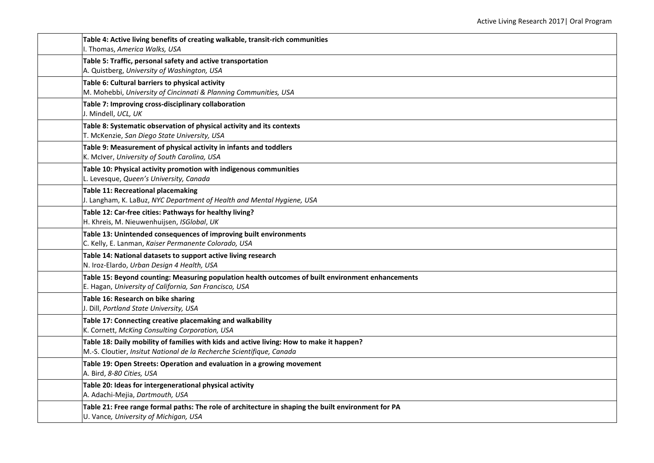| Table 4: Active living benefits of creating walkable, transit-rich communities<br>I. Thomas, America Walks, USA                                                   |
|-------------------------------------------------------------------------------------------------------------------------------------------------------------------|
| Table 5: Traffic, personal safety and active transportation<br>A. Quistberg, University of Washington, USA                                                        |
| Table 6: Cultural barriers to physical activity<br>M. Mohebbi, University of Cincinnati & Planning Communities, USA                                               |
| Table 7: Improving cross-disciplinary collaboration<br>J. Mindell, UCL, UK                                                                                        |
| Table 8: Systematic observation of physical activity and its contexts<br>T. McKenzie, San Diego State University, USA                                             |
| Table 9: Measurement of physical activity in infants and toddlers<br>K. McIver, University of South Carolina, USA                                                 |
| Table 10: Physical activity promotion with indigenous communities<br>L. Levesque, Queen's University, Canada                                                      |
| Table 11: Recreational placemaking<br>J. Langham, K. LaBuz, NYC Department of Health and Mental Hygiene, USA                                                      |
| Table 12: Car-free cities: Pathways for healthy living?<br>H. Khreis, M. Nieuwenhuijsen, ISGlobal, UK                                                             |
| Table 13: Unintended consequences of improving built environments<br>C. Kelly, E. Lanman, Kaiser Permanente Colorado, USA                                         |
| Table 14: National datasets to support active living research<br>N. Iroz-Elardo, Urban Design 4 Health, USA                                                       |
| Table 15: Beyond counting: Measuring population health outcomes of built environment enhancements<br>E. Hagan, University of California, San Francisco, USA       |
| Table 16: Research on bike sharing<br>J. Dill, Portland State University, USA                                                                                     |
| Table 17: Connecting creative placemaking and walkability<br>K. Cornett, McKing Consulting Corporation, USA                                                       |
| Table 18: Daily mobility of families with kids and active living: How to make it happen?<br>M.-S. Cloutier, Insitut National de la Recherche Scientifique, Canada |
| Table 19: Open Streets: Operation and evaluation in a growing movement<br>A. Bird, 8-80 Cities, USA                                                               |
| Table 20: Ideas for intergenerational physical activity<br>A. Adachi-Mejia, Dartmouth, USA                                                                        |
| Table 21: Free range formal paths: The role of architecture in shaping the built environment for PA<br>U. Vance, University of Michigan, USA                      |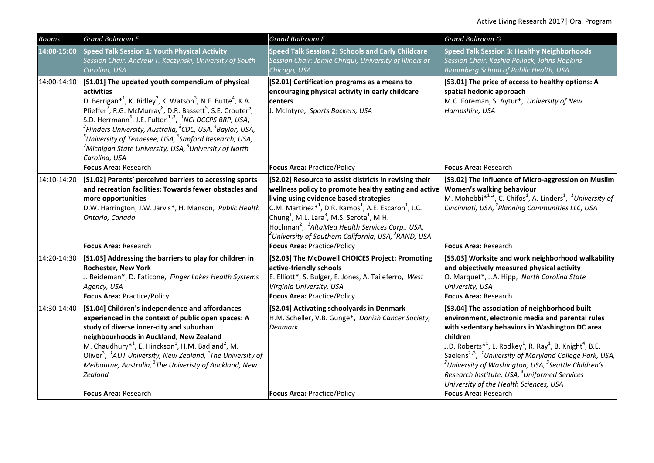| Rooms       | <b>Grand Ballroom E</b>                                                                                                                                                                                                                                                                                                                                                                                                                                                                                                                                                                                                  | <b>Grand Ballroom F</b>                                                                                                                                                                                                                                                                                                                                                                                                                                                                 | <b>Grand Ballroom G</b>                                                                                                                                                                                                                                                                                                                                                                                                                                                                                                                                             |
|-------------|--------------------------------------------------------------------------------------------------------------------------------------------------------------------------------------------------------------------------------------------------------------------------------------------------------------------------------------------------------------------------------------------------------------------------------------------------------------------------------------------------------------------------------------------------------------------------------------------------------------------------|-----------------------------------------------------------------------------------------------------------------------------------------------------------------------------------------------------------------------------------------------------------------------------------------------------------------------------------------------------------------------------------------------------------------------------------------------------------------------------------------|---------------------------------------------------------------------------------------------------------------------------------------------------------------------------------------------------------------------------------------------------------------------------------------------------------------------------------------------------------------------------------------------------------------------------------------------------------------------------------------------------------------------------------------------------------------------|
| 14:00-15:00 | Speed Talk Session 1: Youth Physical Activity<br>Session Chair: Andrew T. Kaczynski, University of South<br>Carolina, USA                                                                                                                                                                                                                                                                                                                                                                                                                                                                                                | Speed Talk Session 2: Schools and Early Childcare<br>Session Chair: Jamie Chriqui, University of Illinois at<br>Chicago, USA                                                                                                                                                                                                                                                                                                                                                            | <b>Speed Talk Session 3: Healthy Neighborhoods</b><br>Session Chair: Keshia Pollack, Johns Hopkins<br><b>Bloomberg School of Public Health, USA</b>                                                                                                                                                                                                                                                                                                                                                                                                                 |
| 14:00-14:10 | [S1.01] The updated youth compendium of physical<br>activities<br>D. Berrigan <sup>*1</sup> , K. Ridley <sup>2</sup> , K. Watson <sup>3</sup> , N.F. Butte <sup>4</sup> , K.A.<br>Pfieffer <sup>7</sup> , R.G. McMurray <sup>8</sup> , D.R. Bassett <sup>5</sup> , S.E. Crouter <sup>5</sup> ,<br>S.D. Herrmann <sup>6</sup> , J.E. Fulton <sup>1,3</sup> , <sup>1</sup> NCI DCCPS BRP, USA,<br>$^2$ Flinders University, Australia, $^3$ CDC, USA, $^4$ Baylor, USA,<br>$^5$ University of Tennesee, USA, $^6$ Sanford Research, USA,<br>$^7$ Michigan State University, USA, $^8$ University of North<br>Carolina, USA | [S2.01] Certification programs as a means to<br>encouraging physical activity in early childcare<br>centers<br>J. McIntyre, Sports Backers, USA                                                                                                                                                                                                                                                                                                                                         | [S3.01] The price of access to healthy options: A<br>spatial hedonic approach<br>M.C. Foreman, S. Aytur*, University of New<br>Hampshire, USA                                                                                                                                                                                                                                                                                                                                                                                                                       |
|             | Focus Area: Research                                                                                                                                                                                                                                                                                                                                                                                                                                                                                                                                                                                                     | <b>Focus Area: Practice/Policy</b>                                                                                                                                                                                                                                                                                                                                                                                                                                                      | <b>Focus Area: Research</b>                                                                                                                                                                                                                                                                                                                                                                                                                                                                                                                                         |
| 14:10-14:20 | [S1.02] Parents' perceived barriers to accessing sports<br>and recreation facilities: Towards fewer obstacles and<br>more opportunities<br>D.W. Harrington, J.W. Jarvis*, H. Manson, Public Health<br>Ontario, Canada                                                                                                                                                                                                                                                                                                                                                                                                    | [S2.02] Resource to assist districts in revising their<br>wellness policy to promote healthy eating and active<br>living using evidence based strategies<br>C.M. Martinez $*^1$ , D.R. Ramos <sup>1</sup> , A.E. Escaron <sup>1</sup> , J.C.<br>Chung <sup>1</sup> , M.L. Lara <sup>3</sup> , M.S. Serota <sup>1</sup> , M.H.<br>Hochman <sup>2</sup> , <sup>1</sup> AltaMed Health Services Corp., USA,<br><sup>2</sup> University of Southern California, USA, <sup>3</sup> RAND, USA | [S3.02] The Influence of Micro-aggression on Muslim<br>Women's walking behaviour<br>M. Mohebbi $*^{1,2}$ , C. Chifos <sup>1</sup> , A. Linders <sup>1</sup> , <sup>1</sup> University of<br>Cincinnati, USA, <sup>2</sup> Planning Communities LLC, USA                                                                                                                                                                                                                                                                                                             |
|             | Focus Area: Research                                                                                                                                                                                                                                                                                                                                                                                                                                                                                                                                                                                                     | <b>Focus Area: Practice/Policy</b>                                                                                                                                                                                                                                                                                                                                                                                                                                                      | <b>Focus Area: Research</b>                                                                                                                                                                                                                                                                                                                                                                                                                                                                                                                                         |
| 14:20-14:30 | [S1.03] Addressing the barriers to play for children in<br><b>Rochester, New York</b><br>J. Beideman*, D. Faticone, Finger Lakes Health Systems<br>Agency, USA<br><b>Focus Area: Practice/Policy</b>                                                                                                                                                                                                                                                                                                                                                                                                                     | [S2.03] The McDowell CHOICES Project: Promoting<br>active-friendly schools<br>E. Elliott*, S. Bulger, E. Jones, A. Taileferro, West<br>Virginia University, USA<br><b>Focus Area: Practice/Policy</b>                                                                                                                                                                                                                                                                                   | [S3.03] Worksite and work neighborhood walkability<br>and objectively measured physical activity<br>O. Marquet*, J.A. Hipp, North Carolina State<br>University, USA<br><b>Focus Area: Research</b>                                                                                                                                                                                                                                                                                                                                                                  |
| 14:30-14:40 | [S1.04] Children's independence and affordances<br>experienced in the context of public open spaces: A<br>study of diverse inner-city and suburban<br>neighbourhoods in Auckland, New Zealand<br>M. Chaudhury <sup>*1</sup> , E. Hinckson <sup>1</sup> , H.M. Badland <sup>2</sup> , M.<br>Oliver <sup>3</sup> , <sup>1</sup> AUT University, New Zealand, <sup>2</sup> The University of<br>Melbourne, Australia, <sup>3</sup> The Univeristy of Auckland, New<br><b>Zealand</b><br><b>Focus Area: Research</b>                                                                                                         | [S2.04] Activating schoolyards in Denmark<br>H.M. Scheller, V.B. Gunge*, Danish Cancer Society,<br><b>Denmark</b><br><b>Focus Area: Practice/Policy</b>                                                                                                                                                                                                                                                                                                                                 | [S3.04] The association of neighborhood built<br>environment, electronic media and parental rules<br>with sedentary behaviors in Washington DC area<br>children<br>J.D. Roberts <sup>*1</sup> , L. Rodkey <sup>1</sup> , R. Ray <sup>1</sup> , B. Knight <sup>4</sup> , B.E.<br>Saelens <sup>2,3</sup> , <sup>1</sup> University of Maryland College Park, USA,<br>$^2$ University of Washington, USA, $^3$ Seattle Children's<br>Research Institute, USA, <sup>4</sup> Uniformed Services<br>University of the Health Sciences, USA<br><b>Focus Area: Research</b> |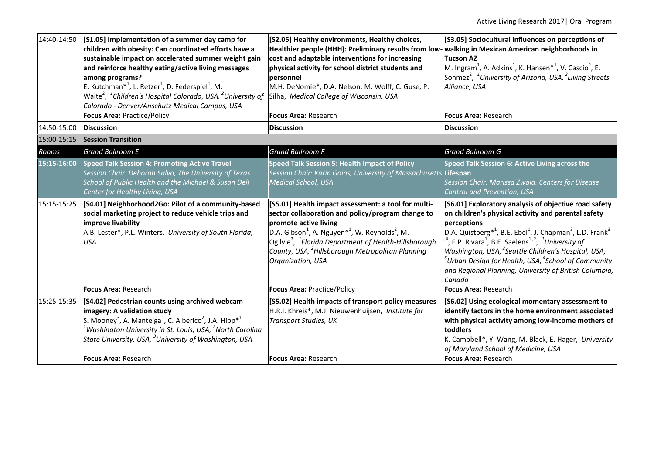| 14:40-14:50            | [S1.05] Implementation of a summer day camp for<br>children with obesity: Can coordinated efforts have a<br>sustainable impact on accelerated summer weight gain<br>and reinforce healthy eating/active living messages<br>among programs?<br>E. Kutchman <sup>*1</sup> , L. Retzer <sup>1</sup> , D. Federspiel <sup>1</sup> , M.<br>Waite <sup>2</sup> , <sup>1</sup> Children's Hospital Colorado, USA, <sup>2</sup> University of<br>Colorado - Denver/Anschutz Medical Campus, USA<br>Focus Area: Practice/Policy | [S2.05] Healthy environments, Healthy choices,<br>Healthier people (HHH): Preliminary results from low-<br>cost and adaptable interventions for increasing<br>physical activity for school district students and<br>personnel<br>M.H. DeNomie*, D.A. Nelson, M. Wolff, C. Guse, P.<br>Silha, Medical College of Wisconsin, USA<br><b>Focus Area: Research</b>                                          | [S3.05] Sociocultural influences on perceptions of<br>walking in Mexican American neighborhoods in<br><b>Tucson AZ</b><br>M. Ingram <sup>1</sup> , A. Adkins <sup>1</sup> , K. Hansen <sup>*1</sup> , V. Cascio <sup>2</sup> , E.<br>Sonmez <sup>2</sup> , <sup>1</sup> University of Arizona, USA, <sup>2</sup> Living Streets<br>Alliance, USA<br><b>Focus Area: Research</b>                                                                                                                                                                      |
|------------------------|------------------------------------------------------------------------------------------------------------------------------------------------------------------------------------------------------------------------------------------------------------------------------------------------------------------------------------------------------------------------------------------------------------------------------------------------------------------------------------------------------------------------|--------------------------------------------------------------------------------------------------------------------------------------------------------------------------------------------------------------------------------------------------------------------------------------------------------------------------------------------------------------------------------------------------------|------------------------------------------------------------------------------------------------------------------------------------------------------------------------------------------------------------------------------------------------------------------------------------------------------------------------------------------------------------------------------------------------------------------------------------------------------------------------------------------------------------------------------------------------------|
| 14:50-15:00 Discussion |                                                                                                                                                                                                                                                                                                                                                                                                                                                                                                                        | <b>Discussion</b>                                                                                                                                                                                                                                                                                                                                                                                      | <b>Discussion</b>                                                                                                                                                                                                                                                                                                                                                                                                                                                                                                                                    |
| 15:00-15:15            | <b>Session Transition</b>                                                                                                                                                                                                                                                                                                                                                                                                                                                                                              |                                                                                                                                                                                                                                                                                                                                                                                                        |                                                                                                                                                                                                                                                                                                                                                                                                                                                                                                                                                      |
| Rooms                  | <b>Grand Ballroom E</b>                                                                                                                                                                                                                                                                                                                                                                                                                                                                                                | <b>Grand Ballroom F</b>                                                                                                                                                                                                                                                                                                                                                                                | Grand Ballroom G                                                                                                                                                                                                                                                                                                                                                                                                                                                                                                                                     |
| 15:15-16:00            | <b>Speed Talk Session 4: Promoting Active Travel</b><br>Session Chair: Deborah Salvo, The University of Texas<br>School of Public Health and the Michael & Susan Dell<br>Center for Healthy Living, USA                                                                                                                                                                                                                                                                                                                | <b>Speed Talk Session 5: Health Impact of Policy</b><br>Session Chair: Karin Goins, University of Massachusetts Lifespan<br><b>Medical School, USA</b>                                                                                                                                                                                                                                                 | Speed Talk Session 6: Active Living across the<br>Session Chair: Marissa Zwald, Centers for Disease<br>Control and Prevention, USA                                                                                                                                                                                                                                                                                                                                                                                                                   |
| 15:15-15:25            | [S4.01] Neighborhood2Go: Pilot of a community-based<br>social marketing project to reduce vehicle trips and<br>improve livability<br>A.B. Lester*, P.L. Winters, University of South Florida,<br><b>USA</b>                                                                                                                                                                                                                                                                                                            | [S5.01] Health impact assessment: a tool for multi-<br>sector collaboration and policy/program change to<br>promote active living<br>$\left $ D.A. Gibson <sup>1</sup> , A. Nguyen <sup>*1</sup> , W. Reynolds <sup>2</sup> , M.<br>Ogilvie <sup>2</sup> , <sup>1</sup> Florida Department of Health-Hillsborough<br>County, USA, <sup>2</sup> Hillsborough Metropolitan Planning<br>Organization, USA | [S6.01] Exploratory analysis of objective road safety<br>on children's physical activity and parental safety<br>perceptions<br>D.A. Quistberg <sup>*1</sup> , B.E. Ebel <sup>1</sup> , J. Chapman <sup>3</sup> , L.D. Frank <sup>3</sup><br><sup>4</sup> , F.P. Rivara <sup>1</sup> , B.E. Saelens <sup>1,2</sup> , <sup>1</sup> University of<br>Washington, USA, <sup>2</sup> Seattle Children's Hospital, USA,<br>$^3$ Urban Design for Health, USA, $^4$ School of Community<br>and Regional Planning, University of British Columbia,<br>Canada |
|                        | <b>Focus Area: Research</b>                                                                                                                                                                                                                                                                                                                                                                                                                                                                                            | Focus Area: Practice/Policy                                                                                                                                                                                                                                                                                                                                                                            | <b>Focus Area: Research</b>                                                                                                                                                                                                                                                                                                                                                                                                                                                                                                                          |
| 15:25-15:35            | [S4.02] Pedestrian counts using archived webcam<br>imagery: A validation study<br>S. Mooney <sup>3</sup> , A. Manteiga <sup>1</sup> , C. Alberico <sup>2</sup> , J.A. Hipp <sup>*1</sup><br>$^{\mathfrak l}$ Washington University in St. Louis, USA, $^2$ North Carolina<br>State University, USA, <sup>3</sup> University of Washington, USA<br><b>Focus Area: Research</b>                                                                                                                                          | [S5.02] Health impacts of transport policy measures<br>H.R.I. Khreis*, M.J. Nieuwenhuijsen, Institute for<br><b>Transport Studies, UK</b><br><b>Focus Area: Research</b>                                                                                                                                                                                                                               | [S6.02] Using ecological momentary assessment to<br>identify factors in the home environment associated<br>with physical activity among low-income mothers of<br>toddlers<br>K. Campbell*, Y. Wang, M. Black, E. Hager, University<br>of Maryland School of Medicine, USA<br><b>Focus Area: Research</b>                                                                                                                                                                                                                                             |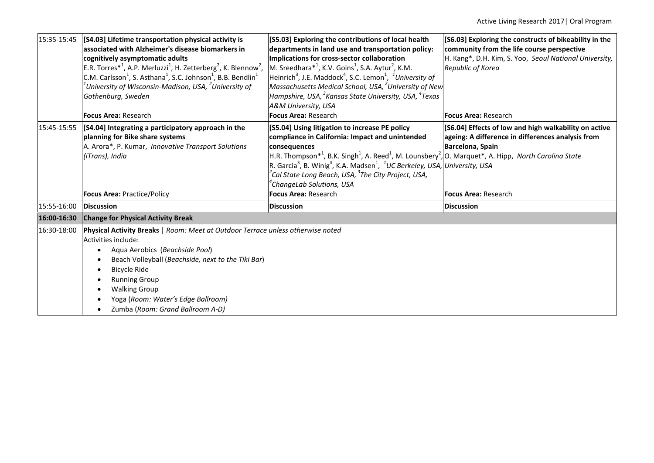| 15:35-15:45 | [S4.03] Lifetime transportation physical activity is<br>associated with Alzheimer's disease biomarkers in<br>cognitively asymptomatic adults<br>E.R. Torres <sup>*1</sup> , A.P. Merluzzi <sup>1</sup> , H. Zetterberg <sup>2</sup> , K. Blennow <sup>2</sup> ,<br>C.M. Carlsson <sup>1</sup> , S. Asthana <sup>1</sup> , S.C. Johnson <sup>1</sup> , B.B. Bendlin <sup>1</sup><br>University of Wisconsin-Madison, USA, $^2$ University of<br>Gothenburg, Sweden | [S5.03] Exploring the contributions of local health<br>departments in land use and transportation policy:<br>Implications for cross-sector collaboration<br>$ M$ . Sreedhara <sup>*1</sup> , K.V. Goins <sup>1</sup> , S.A. Aytur <sup>2</sup> , K.M.<br>Heinrich <sup>3</sup> , J.E. Maddock <sup>4</sup> , S.C. Lemon <sup>1</sup> , <sup>1</sup> University of<br>Massachusetts Medical School, USA, <sup>2</sup> University of New<br>Hampshire, USA, <sup>3</sup> Kansas State University, USA, <sup>4</sup> Texas<br>A&M University, USA | [S6.03] Exploring the constructs of bikeability in the<br>community from the life course perspective<br>H. Kang*, D.H. Kim, S. Yoo, Seoul National University,<br>Republic of Korea |
|-------------|-------------------------------------------------------------------------------------------------------------------------------------------------------------------------------------------------------------------------------------------------------------------------------------------------------------------------------------------------------------------------------------------------------------------------------------------------------------------|------------------------------------------------------------------------------------------------------------------------------------------------------------------------------------------------------------------------------------------------------------------------------------------------------------------------------------------------------------------------------------------------------------------------------------------------------------------------------------------------------------------------------------------------|-------------------------------------------------------------------------------------------------------------------------------------------------------------------------------------|
|             | <b>Focus Area: Research</b>                                                                                                                                                                                                                                                                                                                                                                                                                                       | <b>Focus Area: Research</b>                                                                                                                                                                                                                                                                                                                                                                                                                                                                                                                    | <b>Focus Area: Research</b>                                                                                                                                                         |
| 15:45-15:55 | [S4.04] Integrating a participatory approach in the<br>planning for Bike share systems<br>A. Arora*, P. Kumar, Innovative Transport Solutions<br>(iTrans), India                                                                                                                                                                                                                                                                                                  | [S5.04] Using litigation to increase PE policy<br>compliance in California: Impact and unintended<br>consequences<br>$\vert$ H.R. Thompson* <sup>1</sup> , B.K. Singh <sup>1</sup> , A. Reed <sup>1</sup> , M. Lounsbery <sup>2</sup> , O. Marquet*, A. Hipp, North Carolina State<br>R. Garcia <sup>3</sup> , B. Winig <sup>4</sup> , K.A. Madsen <sup>1</sup> , <sup>1</sup> UC Berkeley, USA, University, USA<br>$^2$ Cal State Long Beach, USA, $^3$ The City Project, USA,<br>$^4$ ChangeLab Solutions, USA                               | [S6.04] Effects of low and high walkability on active<br>ageing: A difference in differences analysis from<br>Barcelona, Spain                                                      |
|             | <b>Focus Area: Practice/Policy</b>                                                                                                                                                                                                                                                                                                                                                                                                                                | <b>Focus Area: Research</b>                                                                                                                                                                                                                                                                                                                                                                                                                                                                                                                    | <b>Focus Area: Research</b>                                                                                                                                                         |
| 15:55-16:00 | <b>Discussion</b>                                                                                                                                                                                                                                                                                                                                                                                                                                                 | <b>Discussion</b>                                                                                                                                                                                                                                                                                                                                                                                                                                                                                                                              | <b> Discussion</b>                                                                                                                                                                  |
| 16:00-16:30 | <b>Change for Physical Activity Break</b>                                                                                                                                                                                                                                                                                                                                                                                                                         |                                                                                                                                                                                                                                                                                                                                                                                                                                                                                                                                                |                                                                                                                                                                                     |
| 16:30-18:00 | Physical Activity Breaks   Room: Meet at Outdoor Terrace unless otherwise noted<br>Activities include:<br>Aqua Aerobics (Beachside Pool)<br>Beach Volleyball (Beachside, next to the Tiki Bar)<br><b>Bicycle Ride</b><br><b>Running Group</b><br><b>Walking Group</b><br>Yoga (Room: Water's Edge Ballroom)<br>Zumba (Room: Grand Ballroom A-D)                                                                                                                   |                                                                                                                                                                                                                                                                                                                                                                                                                                                                                                                                                |                                                                                                                                                                                     |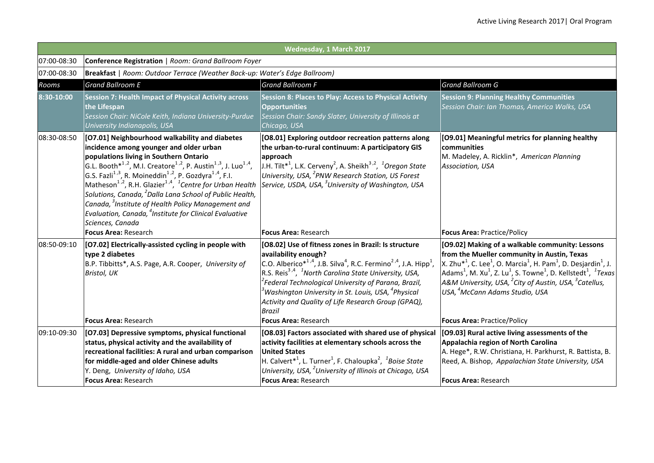|             |                                                                                                                                                                                                                                                                                                                                                                                                                                                                                                                                                                                                                                                                                        | Wednesday, 1 March 2017                                                                                                                                                                                                                                                                                                                                                                                                                                                                |                                                                                                                                                                                                                                                                                                                                                                                                                                                                                                |  |  |  |
|-------------|----------------------------------------------------------------------------------------------------------------------------------------------------------------------------------------------------------------------------------------------------------------------------------------------------------------------------------------------------------------------------------------------------------------------------------------------------------------------------------------------------------------------------------------------------------------------------------------------------------------------------------------------------------------------------------------|----------------------------------------------------------------------------------------------------------------------------------------------------------------------------------------------------------------------------------------------------------------------------------------------------------------------------------------------------------------------------------------------------------------------------------------------------------------------------------------|------------------------------------------------------------------------------------------------------------------------------------------------------------------------------------------------------------------------------------------------------------------------------------------------------------------------------------------------------------------------------------------------------------------------------------------------------------------------------------------------|--|--|--|
| 07:00-08:30 | Conference Registration   Room: Grand Ballroom Foyer                                                                                                                                                                                                                                                                                                                                                                                                                                                                                                                                                                                                                                   |                                                                                                                                                                                                                                                                                                                                                                                                                                                                                        |                                                                                                                                                                                                                                                                                                                                                                                                                                                                                                |  |  |  |
| 07:00-08:30 |                                                                                                                                                                                                                                                                                                                                                                                                                                                                                                                                                                                                                                                                                        | Breakfast   Room: Outdoor Terrace (Weather Back-up: Water's Edge Ballroom)                                                                                                                                                                                                                                                                                                                                                                                                             |                                                                                                                                                                                                                                                                                                                                                                                                                                                                                                |  |  |  |
| Rooms       | <b>Grand Ballroom E</b>                                                                                                                                                                                                                                                                                                                                                                                                                                                                                                                                                                                                                                                                | <b>Grand Ballroom F</b>                                                                                                                                                                                                                                                                                                                                                                                                                                                                | <b>Grand Ballroom G</b>                                                                                                                                                                                                                                                                                                                                                                                                                                                                        |  |  |  |
| 8:30-10:00  | <b>Session 7: Health Impact of Physical Activity across</b><br>the Lifespan<br>Session Chair: NiCole Keith, Indiana University-Purdue<br>University Indianapolis, USA                                                                                                                                                                                                                                                                                                                                                                                                                                                                                                                  | <b>Session 8: Places to Play: Access to Physical Activity</b><br>Opportunities<br>Session Chair: Sandy Slater, University of Illinois at<br>Chicago, USA                                                                                                                                                                                                                                                                                                                               | <b>Session 9: Planning Healthy Communities</b><br>Session Chair: Ian Thomas, America Walks, USA                                                                                                                                                                                                                                                                                                                                                                                                |  |  |  |
| 08:30-08:50 | [O7.01] Neighbourhood walkability and diabetes<br>incidence among younger and older urban<br>populations living in Southern Ontario<br>G.L. Booth <sup>*1,2</sup> , M.I. Creatore <sup>1,2</sup> , P. Austin <sup>1,3</sup> , J. Luo <sup>1,4</sup> ,<br>G.S. Fazli <sup>1,3</sup> , R. Moineddin <sup>1,2</sup> , P. Gozdyra <sup>1,4</sup> , F.I.<br>Matheson <sup>1,2</sup> , R.H. Glazier <sup>1,4</sup> , <sup>1</sup> Centre for Urban Health<br>Solutions, Canada, <sup>2</sup> Dalla Lana School of Public Health,<br>Canada, <sup>3</sup> Institute of Health Policy Management and<br>Evaluation, Canada, <sup>4</sup> Institute for Clinical Evaluative<br>Sciences, Canada | [O8.01] Exploring outdoor recreation patterns along<br>the urban-to-rural continuum: A participatory GIS<br>approach<br>J.H. Tilt <sup>*1</sup> , L.K. Cerveny <sup>2</sup> , A. Sheikh <sup>3,2</sup> , <sup>1</sup> Oregon State<br>University, USA, <sup>2</sup> PNW Research Station, US Forest<br>Service, USDA, USA, <sup>3</sup> University of Washington, USA                                                                                                                  | [09.01] Meaningful metrics for planning healthy<br>communities<br>M. Madeley, A. Ricklin*, American Planning<br>Association, USA                                                                                                                                                                                                                                                                                                                                                               |  |  |  |
|             | Focus Area: Research                                                                                                                                                                                                                                                                                                                                                                                                                                                                                                                                                                                                                                                                   | <b>Focus Area: Research</b>                                                                                                                                                                                                                                                                                                                                                                                                                                                            | <b>Focus Area: Practice/Policy</b>                                                                                                                                                                                                                                                                                                                                                                                                                                                             |  |  |  |
| 08:50-09:10 | [O7.02] Electrically-assisted cycling in people with<br>type 2 diabetes<br>B.P. Tibbitts*, A.S. Page, A.R. Cooper, University of<br>Bristol, UK                                                                                                                                                                                                                                                                                                                                                                                                                                                                                                                                        | [O8.02] Use of fitness zones in Brazil: Is structure<br>availability enough?<br>C.O. Alberico $*^{1,4}$ , J.B. Silva <sup>4</sup> , R.C. Fermino <sup>2,4</sup> , J.A. Hipp <sup>1</sup> ,<br>R.S. Reis <sup>3,4</sup> , <sup>1</sup> North Carolina State University, USA,<br><sup>2</sup> Federal Technological University of Parana, Brazil,<br>$^3$ Washington University in St. Louis, USA, $^4$ Physical<br>Activity and Quality of Life Research Group (GPAQ),<br><b>Brazil</b> | [09.02] Making of a walkable community: Lessons<br>from the Mueller community in Austin, Texas<br>$X$ . Zhu $*$ <sup>1</sup> , C. Lee <sup>1</sup> , O. Marcia <sup>1</sup> , H. Pam <sup>1</sup> , D. Desjardin <sup>1</sup> , J.<br>Adams <sup>1</sup> , M. Xu <sup>1</sup> , Z. Lu <sup>1</sup> , S. Towne <sup>1</sup> , D. Kellstedt <sup>1</sup> , <sup>1</sup> Texas<br>A&M University, USA, $^{2}$ City of Austin, USA, $^{3}$ Catellus,<br>USA, <sup>4</sup> McCann Adams Studio, USA |  |  |  |
|             | <b>Focus Area: Research</b>                                                                                                                                                                                                                                                                                                                                                                                                                                                                                                                                                                                                                                                            | <b>Focus Area: Research</b>                                                                                                                                                                                                                                                                                                                                                                                                                                                            | <b>Focus Area: Practice/Policy</b>                                                                                                                                                                                                                                                                                                                                                                                                                                                             |  |  |  |
| 09:10-09:30 | [O7.03] Depressive symptoms, physical functional<br>status, physical activity and the availability of<br>recreational facilities: A rural and urban comparison<br>for middle-aged and older Chinese adults<br>Y. Deng, University of Idaho, USA<br>Focus Area: Research                                                                                                                                                                                                                                                                                                                                                                                                                | [O8.03] Factors associated with shared use of physical<br>activity facilities at elementary schools across the<br><b>United States</b><br>H. Calvert <sup>*1</sup> , L. Turner <sup>1</sup> , F. Chaloupka <sup>2</sup> , <sup>1</sup> Boise State<br>University, USA, <sup>2</sup> University of Illinois at Chicago, USA<br>Focus Area: Research                                                                                                                                     | [O9.03] Rural active living assessments of the<br>Appalachia region of North Carolina<br>A. Hege*, R.W. Christiana, H. Parkhurst, R. Battista, B.<br>Reed, A. Bishop, Appalachian State University, USA<br><b>Focus Area: Research</b>                                                                                                                                                                                                                                                         |  |  |  |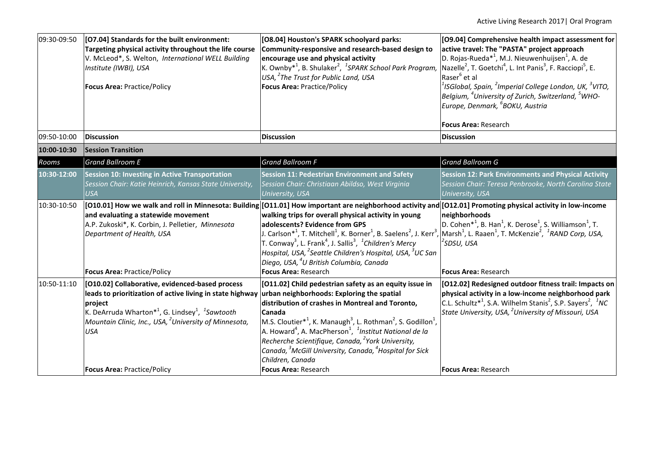| 09:30-09:50 | [O7.04] Standards for the built environment:<br>Targeting physical activity throughout the life course<br>V. McLeod*, S. Welton, International WELL Building<br>Institute (IWBI), USA<br><b>Focus Area: Practice/Policy</b>                                                                                                             | [O8.04] Houston's SPARK schoolyard parks:<br>Community-responsive and research-based design to<br>encourage use and physical activity<br>K. Ownby <sup>*1</sup> , B. Shulaker <sup>2</sup> , <sup>1</sup> SPARK School Park Program,<br>USA, <sup>2</sup> The Trust for Public Land, USA<br><b>Focus Area: Practice/Policy</b>                                                                                                                                                                                                                                                                                                                                                                                                                                                             | [09.04] Comprehensive health impact assessment for<br>active travel: The "PASTA" project approach<br>D. Rojas-Rueda <sup>*1</sup> , M.J. Nieuwenhuijsen <sup>1</sup> , A. de<br>Nazelle <sup>2</sup> , T. Goetchi <sup>4</sup> , L. Int Panis <sup>3</sup> , F. Racciopi <sup>5</sup> , E.<br>Raser <sup>6</sup> et al<br>$1$ ISGlobal, Spain, $2$ Imperial College London, UK, $3$ VITO,<br>Belgium, <sup>4</sup> University of Zurich, Switzerland, <sup>5</sup> WHO-<br>Europe, Denmark, <sup>6</sup> BOKU, Austria<br><b>Focus Area: Research</b> |  |  |
|-------------|-----------------------------------------------------------------------------------------------------------------------------------------------------------------------------------------------------------------------------------------------------------------------------------------------------------------------------------------|--------------------------------------------------------------------------------------------------------------------------------------------------------------------------------------------------------------------------------------------------------------------------------------------------------------------------------------------------------------------------------------------------------------------------------------------------------------------------------------------------------------------------------------------------------------------------------------------------------------------------------------------------------------------------------------------------------------------------------------------------------------------------------------------|-------------------------------------------------------------------------------------------------------------------------------------------------------------------------------------------------------------------------------------------------------------------------------------------------------------------------------------------------------------------------------------------------------------------------------------------------------------------------------------------------------------------------------------------------------|--|--|
| 09:50-10:00 | <b>Discussion</b>                                                                                                                                                                                                                                                                                                                       | <b>Discussion</b>                                                                                                                                                                                                                                                                                                                                                                                                                                                                                                                                                                                                                                                                                                                                                                          | <b>Discussion</b>                                                                                                                                                                                                                                                                                                                                                                                                                                                                                                                                     |  |  |
| 10:00-10:30 | <b>Session Transition</b>                                                                                                                                                                                                                                                                                                               |                                                                                                                                                                                                                                                                                                                                                                                                                                                                                                                                                                                                                                                                                                                                                                                            |                                                                                                                                                                                                                                                                                                                                                                                                                                                                                                                                                       |  |  |
| Rooms       | <b>Grand Ballroom E</b>                                                                                                                                                                                                                                                                                                                 | <b>Grand Ballroom F</b>                                                                                                                                                                                                                                                                                                                                                                                                                                                                                                                                                                                                                                                                                                                                                                    | <b>Grand Ballroom G</b>                                                                                                                                                                                                                                                                                                                                                                                                                                                                                                                               |  |  |
| 10:30-12:00 | <b>Session 10: Investing in Active Transportation</b><br>Session Chair: Katie Heinrich, Kansas State University,<br><b>USA</b>                                                                                                                                                                                                          | <b>Session 11: Pedestrian Environment and Safety</b><br>Session Chair: Christiaan Abildso, West Virginia<br><b>University, USA</b>                                                                                                                                                                                                                                                                                                                                                                                                                                                                                                                                                                                                                                                         | <b>Session 12: Park Environments and Physical Activity</b><br>Session Chair: Teresa Penbrooke, North Carolina State<br>University, USA                                                                                                                                                                                                                                                                                                                                                                                                                |  |  |
| 10:30-10:50 | and evaluating a statewide movement<br>A.P. Zukoski*, K. Corbin, J. Pelletier, Minnesota<br>Department of Health, USA<br><b>Focus Area: Practice/Policy</b>                                                                                                                                                                             | [010.01] How we walk and roll in Minnesota: Building [011.01] How important are neighborhood activity and [012.01] Promoting physical activity in low-income<br>walking trips for overall physical activity in young<br>adolescents? Evidence from GPS<br>J. Carlson* <sup>1</sup> , T. Mitchell <sup>1</sup> , K. Borner <sup>1</sup> , B. Saelens <sup>2</sup> , J. Kerr <sup>3</sup> , <i>Marsh<sup>1</sup></i> , L. Raaen <sup>1</sup> , T. McKenzie <sup>2</sup> , <sup>1</sup> RAND Corp, USA,<br>T. Conway <sup>3</sup> , L. Frank <sup>4</sup> , J. Sallis <sup>3</sup> , <sup>1</sup> Children's Mercy<br>Hospital, USA, <sup>2</sup> Seattle Children's Hospital, USA, <sup>3</sup> UC San<br>Diego, USA, <sup>4</sup> U British Columbia, Canada<br><b>Focus Area: Research</b> | neighborhoods<br>D. Cohen <sup>*1</sup> , B. Han <sup>1</sup> , K. Derose <sup>1</sup> , S. Williamson <sup>1</sup> , T.<br><sup>2</sup> SDSU, USA<br><b>Focus Area: Research</b>                                                                                                                                                                                                                                                                                                                                                                     |  |  |
| 10:50-11:10 | [O10.02] Collaborative, evidenced-based process<br>leads to prioritization of active living in state highway<br>project<br>K. DeArruda Wharton <sup>*1</sup> , G. Lindsey <sup>1</sup> , <sup>1</sup> Sawtooth<br>Mountain Clinic, Inc., USA, <sup>2</sup> University of Minnesota,<br><b>USA</b><br><b>Focus Area: Practice/Policy</b> | [O11.02] Child pedestrian safety as an equity issue in<br>urban neighborhoods: Exploring the spatial<br>distribution of crashes in Montreal and Toronto,<br>Canada<br>M.S. Cloutier <sup>*1</sup> , K. Manaugh <sup>3</sup> , L. Rothman <sup>2</sup> , S. Godillon <sup>1</sup> ,<br>A. Howard <sup>4</sup> , A. MacPherson <sup>1</sup> , <sup>1</sup> Institut National de la<br>Recherche Scientifique, Canada, <sup>2</sup> York University,<br>Canada, <sup>3</sup> McGill University, Canada, <sup>4</sup> Hospital for Sick<br>Children, Canada<br><b>Focus Area: Research</b>                                                                                                                                                                                                     | [012.02] Redesigned outdoor fitness trail: Impacts on<br>physical activity in a low-income neighborhood park<br>C.L. Schultz <sup>*1</sup> , S.A. Wilhelm Stanis <sup>2</sup> , S.P. Sayers <sup>2</sup> , <sup>1</sup> NC<br>State University, USA, <sup>2</sup> University of Missouri, USA<br><b>Focus Area: Research</b>                                                                                                                                                                                                                          |  |  |
|             |                                                                                                                                                                                                                                                                                                                                         |                                                                                                                                                                                                                                                                                                                                                                                                                                                                                                                                                                                                                                                                                                                                                                                            |                                                                                                                                                                                                                                                                                                                                                                                                                                                                                                                                                       |  |  |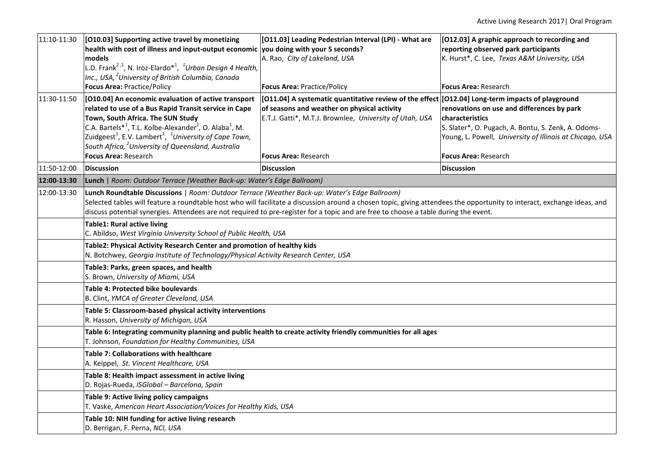| 11:10-11:30 | [010.03] Supporting active travel by monetizing<br>health with cost of illness and input-output economic you doing with your 5 seconds?<br>models<br>L.D. Frank <sup>2,1</sup> , N. Iroz-Elardo <sup>*1</sup> , <sup>1</sup> Urban Design 4 Health,<br>Inc., USA, <sup>2</sup> University of British Columbia, Canada<br><b>Focus Area: Practice/Policy</b>                                                                                                                                                                                                                                                                                                                                                                                                              | [011.03] Leading Pedestrian Interval (LPI) - What are<br>A. Rao, City of Lakeland, USA<br><b>Focus Area: Practice/Policy</b>                                                                                                              | [012.03] A graphic approach to recording and<br>reporting observed park participants<br>K. Hurst*, C. Lee, Texas A&M University, USA<br><b>Focus Area: Research</b>                                                    |  |  |
|-------------|--------------------------------------------------------------------------------------------------------------------------------------------------------------------------------------------------------------------------------------------------------------------------------------------------------------------------------------------------------------------------------------------------------------------------------------------------------------------------------------------------------------------------------------------------------------------------------------------------------------------------------------------------------------------------------------------------------------------------------------------------------------------------|-------------------------------------------------------------------------------------------------------------------------------------------------------------------------------------------------------------------------------------------|------------------------------------------------------------------------------------------------------------------------------------------------------------------------------------------------------------------------|--|--|
| 11:30-11:50 | [010.04] An economic evaluation of active transport<br>related to use of a Bus Rapid Transit service in Cape<br>Town, South Africa. The SUN Study<br>C.A. Bartels* <sup>1</sup> , T.L. Kolbe-Alexander <sup>2</sup> , O. Alaba <sup>1</sup> , M.<br>Zuidgeest <sup>1</sup> , E.V. Lambert <sup>1</sup> , <sup>1</sup> University of Cape Town,<br>South Africa, <sup>2</sup> University of Queensland, Australia<br><b>Focus Area: Research</b>                                                                                                                                                                                                                                                                                                                          | [011.04] A systematic quantitative review of the effect [012.04] Long-term impacts of playground<br>of seasons and weather on physical activity<br>E.T.J. Gatti*, M.T.J. Brownlee, University of Utah, USA<br><b>Focus Area: Research</b> | renovations on use and differences by park<br><b>characteristics</b><br>S. Slater*, O. Pugach, A. Bontu, S. Zenk, A. Odoms-<br>Young, L. Powell, University of Illinois at Chicago, USA<br><b>Focus Area: Research</b> |  |  |
| 11:50-12:00 | <b>Discussion</b>                                                                                                                                                                                                                                                                                                                                                                                                                                                                                                                                                                                                                                                                                                                                                        | <b>Discussion</b>                                                                                                                                                                                                                         | <b>Discussion</b>                                                                                                                                                                                                      |  |  |
| 12:00-13:30 | Lunch   Room: Outdoor Terrace (Weather Back-up: Water's Edge Ballroom)                                                                                                                                                                                                                                                                                                                                                                                                                                                                                                                                                                                                                                                                                                   |                                                                                                                                                                                                                                           |                                                                                                                                                                                                                        |  |  |
| 12:00-13:30 | Lunch Roundtable Discussions   Room: Outdoor Terrace (Weather Back-up: Water's Edge Ballroom)<br>Selected tables will feature a roundtable host who will facilitate a discussion around a chosen topic, giving attendees the opportunity to interact, exchange ideas, and<br>discuss potential synergies. Attendees are not required to pre-register for a topic and are free to choose a table during the event.<br>Table1: Rural active living<br>C. Abildso, West Virginia University School of Public Health, USA<br>Table2: Physical Activity Research Center and promotion of healthy kids<br>N. Botchwey, Georgia Institute of Technology/Physical Activity Research Center, USA<br>Table3: Parks, green spaces, and health<br>S. Brown, University of Miami, USA |                                                                                                                                                                                                                                           |                                                                                                                                                                                                                        |  |  |
|             |                                                                                                                                                                                                                                                                                                                                                                                                                                                                                                                                                                                                                                                                                                                                                                          |                                                                                                                                                                                                                                           |                                                                                                                                                                                                                        |  |  |
|             |                                                                                                                                                                                                                                                                                                                                                                                                                                                                                                                                                                                                                                                                                                                                                                          |                                                                                                                                                                                                                                           |                                                                                                                                                                                                                        |  |  |
|             |                                                                                                                                                                                                                                                                                                                                                                                                                                                                                                                                                                                                                                                                                                                                                                          |                                                                                                                                                                                                                                           |                                                                                                                                                                                                                        |  |  |
|             | Table 4: Protected bike boulevards<br>B. Clint, YMCA of Greater Cleveland, USA                                                                                                                                                                                                                                                                                                                                                                                                                                                                                                                                                                                                                                                                                           |                                                                                                                                                                                                                                           |                                                                                                                                                                                                                        |  |  |
|             | Table 5: Classroom-based physical activity interventions<br>R. Hasson, University of Michigan, USA                                                                                                                                                                                                                                                                                                                                                                                                                                                                                                                                                                                                                                                                       |                                                                                                                                                                                                                                           |                                                                                                                                                                                                                        |  |  |
|             | Table 6: Integrating community planning and public health to create activity friendly communities for all ages<br>T. Johnson, Foundation for Healthy Communities, USA                                                                                                                                                                                                                                                                                                                                                                                                                                                                                                                                                                                                    |                                                                                                                                                                                                                                           |                                                                                                                                                                                                                        |  |  |
|             | <b>Table 7: Collaborations with healthcare</b><br>A. Keippel, St. Vincent Healthcare, USA                                                                                                                                                                                                                                                                                                                                                                                                                                                                                                                                                                                                                                                                                |                                                                                                                                                                                                                                           |                                                                                                                                                                                                                        |  |  |
|             | Table 8: Health impact assessment in active living<br>D. Rojas-Rueda, ISGlobal - Barcelona, Spain                                                                                                                                                                                                                                                                                                                                                                                                                                                                                                                                                                                                                                                                        |                                                                                                                                                                                                                                           |                                                                                                                                                                                                                        |  |  |
|             | Table 9: Active living policy campaigns<br>T. Vaske, American Heart Association/Voices for Healthy Kids, USA                                                                                                                                                                                                                                                                                                                                                                                                                                                                                                                                                                                                                                                             |                                                                                                                                                                                                                                           |                                                                                                                                                                                                                        |  |  |
|             | Table 10: NIH funding for active living research<br>D. Berrigan, F. Perna, NCI, USA                                                                                                                                                                                                                                                                                                                                                                                                                                                                                                                                                                                                                                                                                      |                                                                                                                                                                                                                                           |                                                                                                                                                                                                                        |  |  |